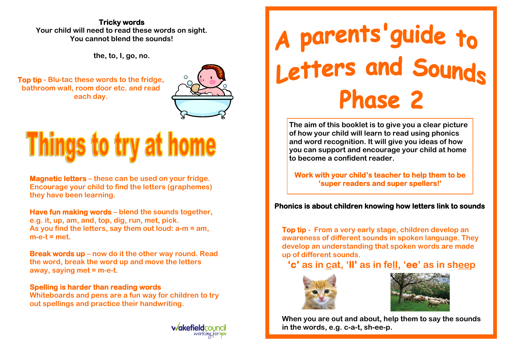## **Tricky words Your child will need to read these words on sight. You cannot blend the sounds!**

**the, to, I, go, no.** 

**Top tip - Blu-tac these words to the fridge, bathroom wall, room door etc. and read each day.** 



# **Things to try at home**

**Magnetic letters – these can be used on your fridge. Encourage your child to find the letters (graphemes) they have been learning.** 

**Have fun making words – blend the sounds together, e.g. it, up, am, and, top, dig, run, met, pick. As you find the letters, say them out loud: a-m = am, m-e-t = met.** 

**Break words up – now do it the other way round. Read the word, break the word up and move the letters away, saying met = m-e-t.** 

# **Spelling is harder than reading words**

**Whiteboards and pens are a fun way for children to try out spellings and practice their handwriting.** 



# A parents' guide to<br>Letters and Sounds **Phase 2**

**The aim of this booklet is to give you a clear picture of how your child will learn to read using phonics and word recognition. It will give you ideas of how you can support and encourage your child at home to become a confident reader.**

**Work with your child's teacher to help them to be 'super readers and super spellers!'** 

**Phonics is about children knowing how letters link to sounds** 

**Top tip - From a very early stage, children develop an awareness of different sounds in spoken language. They develop an understanding that spoken words are made up of different sounds.** 

**'c' as in cat, 'll' as in fell, 'ee' as in sheep** 





**When you are out and about, help them to say the sounds in the words, e.g. c-a-t, sh-ee-p.**